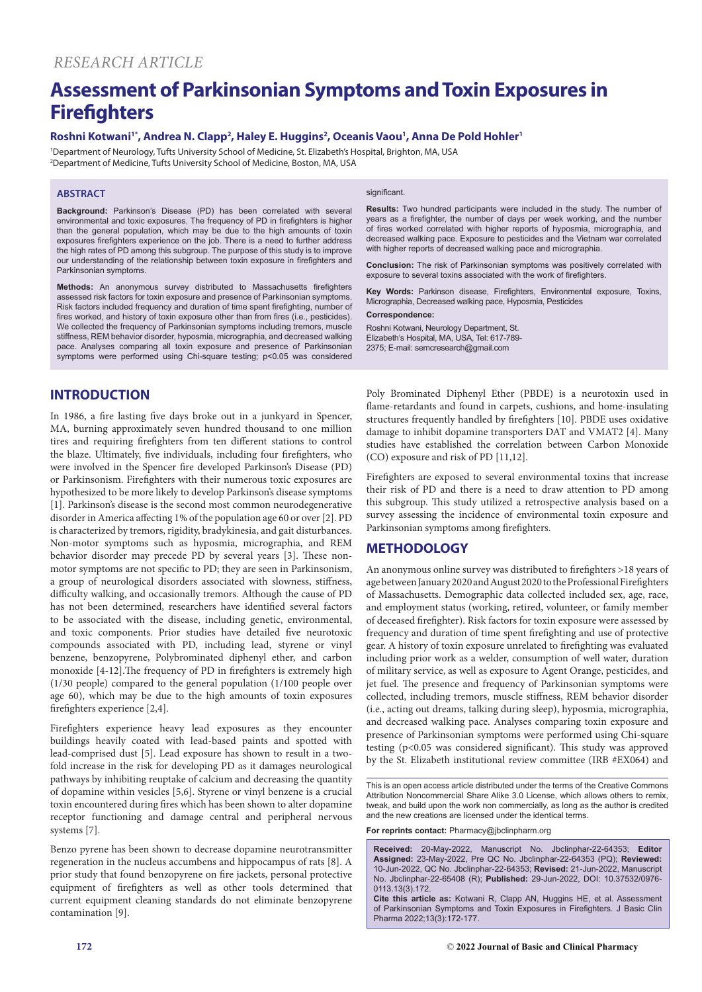# **Assessment of Parkinsonian Symptoms and Toxin Exposures in Firefighters**

## Roshni Kotwani'\*, Andrea N. Clapp<sup>2</sup>, Haley E. Huggins<sup>2</sup>, Oceanis Vaou<sup>1</sup>, Anna De Pold Hohler'

1 Department of Neurology, Tufts University School of Medicine, St. Elizabeth's Hospital, Brighton, MA, USA 2 Department of Medicine, Tufts University School of Medicine, Boston, MA, USA

#### **ABSTRACT**

**Background:** Parkinson's Disease (PD) has been correlated with several environmental and toxic exposures. The frequency of PD in firefighters is higher than the general population, which may be due to the high amounts of toxin exposures firefighters experience on the job. There is a need to further address the high rates of PD among this subgroup. The purpose of this study is to improve our understanding of the relationship between toxin exposure in firefighters and Parkinsonian symptoms.

**Methods:** An anonymous survey distributed to Massachusetts firefighters assessed risk factors for toxin exposure and presence of Parkinsonian symptoms. Risk factors included frequency and duration of time spent firefighting, number of fires worked, and history of toxin exposure other than from fires (i.e., pesticides). We collected the frequency of Parkinsonian symptoms including tremors, muscle stiffness, REM behavior disorder, hyposmia, micrographia, and decreased walking pace. Analyses comparing all toxin exposure and presence of Parkinsonian symptoms were performed using Chi-square testing; p<0.05 was considered

# **INTRODUCTION**

In 1986, a fire lasting five days broke out in a junkyard in Spencer, MA, burning approximately seven hundred thousand to one million tires and requiring firefighters from ten different stations to control the blaze. Ultimately, five individuals, including four firefighters, who were involved in the Spencer fire developed Parkinson's Disease (PD) or Parkinsonism. Firefighters with their numerous toxic exposures are hypothesized to be more likely to develop Parkinson's disease symptoms [1]. Parkinson's disease is the second most common neurodegenerative disorder in America affecting 1% of the population age 60 or over [2]. PD is characterized by tremors, rigidity, bradykinesia, and gait disturbances. Non-motor symptoms such as hyposmia, micrographia, and REM behavior disorder may precede PD by several years [3]. These nonmotor symptoms are not specific to PD; they are seen in Parkinsonism, a group of neurological disorders associated with slowness, stiffness, difficulty walking, and occasionally tremors. Although the cause of PD has not been determined, researchers have identified several factors to be associated with the disease, including genetic, environmental, and toxic components. Prior studies have detailed five neurotoxic compounds associated with PD, including lead, styrene or vinyl benzene, benzopyrene, Polybrominated diphenyl ether, and carbon monoxide [4-12].The frequency of PD in firefighters is extremely high (1/30 people) compared to the general population (1/100 people over age 60), which may be due to the high amounts of toxin exposures firefighters experience [2,4].

Firefighters experience heavy lead exposures as they encounter buildings heavily coated with lead-based paints and spotted with lead-comprised dust [5]. Lead exposure has shown to result in a twofold increase in the risk for developing PD as it damages neurological pathways by inhibiting reuptake of calcium and decreasing the quantity of dopamine within vesicles [5,6]. Styrene or vinyl benzene is a crucial toxin encountered during fires which has been shown to alter dopamine receptor functioning and damage central and peripheral nervous systems [7].

Benzo pyrene has been shown to decrease dopamine neurotransmitter regeneration in the nucleus accumbens and hippocampus of rats [8]. A prior study that found benzopyrene on fire jackets, personal protective equipment of firefighters as well as other tools determined that current equipment cleaning standards do not eliminate benzopyrene contamination [9].

#### significant.

**Results:** Two hundred participants were included in the study. The number of years as a firefighter, the number of days per week working, and the number of fires worked correlated with higher reports of hyposmia, micrographia, and decreased walking pace. Exposure to pesticides and the Vietnam war correlated with higher reports of decreased walking pace and micrographia.

**Conclusion:** The risk of Parkinsonian symptoms was positively correlated with exposure to several toxins associated with the work of firefighters.

**Key Words:** Parkinson disease, Firefighters, Environmental exposure, Toxins, Micrographia, Decreased walking pace, Hyposmia, Pesticides

#### **Correspondence:**

Roshni Kotwani, Neurology Department, St. Elizabeth's Hospital, MA, USA, Tel: 617-789- 2375; E-mail: semcresearch@gmail.com

Poly Brominated Diphenyl Ether (PBDE) is a neurotoxin used in flame-retardants and found in carpets, cushions, and home-insulating structures frequently handled by firefighters [10]. PBDE uses oxidative damage to inhibit dopamine transporters DAT and VMAT2 [4]. Many studies have established the correlation between Carbon Monoxide (CO) exposure and risk of PD [11,12].

Firefighters are exposed to several environmental toxins that increase their risk of PD and there is a need to draw attention to PD among this subgroup. This study utilized a retrospective analysis based on a survey assessing the incidence of environmental toxin exposure and Parkinsonian symptoms among firefighters.

## **METHODOLOGY**

An anonymous online survey was distributed to firefighters >18 years of age between January 2020 and August 2020 to the Professional Firefighters of Massachusetts. Demographic data collected included sex, age, race, and employment status (working, retired, volunteer, or family member of deceased firefighter). Risk factors for toxin exposure were assessed by frequency and duration of time spent firefighting and use of protective gear. A history of toxin exposure unrelated to firefighting was evaluated including prior work as a welder, consumption of well water, duration of military service, as well as exposure to Agent Orange, pesticides, and jet fuel. The presence and frequency of Parkinsonian symptoms were collected, including tremors, muscle stiffness, REM behavior disorder (i.e., acting out dreams, talking during sleep), hyposmia, micrographia, and decreased walking pace. Analyses comparing toxin exposure and presence of Parkinsonian symptoms were performed using Chi-square testing (p<0.05 was considered significant). This study was approved by the St. Elizabeth institutional review committee (IRB #EX064) and

This is an open access article distributed under the terms of the Creative Commons Attribution Noncommercial Share Alike 3.0 License, which allows others to remix, tweak, and build upon the work non commercially, as long as the author is credited and the new creations are licensed under the identical terms.

**For reprints contact:** Pharmacy@jbclinpharm.org

**Received:** 20-May-2022, Manuscript No. Jbclinphar-22-64353; **Editor Assigned:** 23-May-2022, Pre QC No. Jbclinphar-22-64353 (PQ); **Reviewed:**  10-Jun-2022, QC No. Jbclinphar-22-64353; **Revised:** 21-Jun-2022, Manuscript No. Jbclinphar-22-65408 (R); **Published:** 29-Jun-2022, DOI: 10.37532/0976- 0113.13(3).172.

**Cite this article as:** Kotwani R, Clapp AN, Huggins HE, et al. Assessment of Parkinsonian Symptoms and Toxin Exposures in Firefighters. J Basic Clin Pharma 2022;13(3):172-177.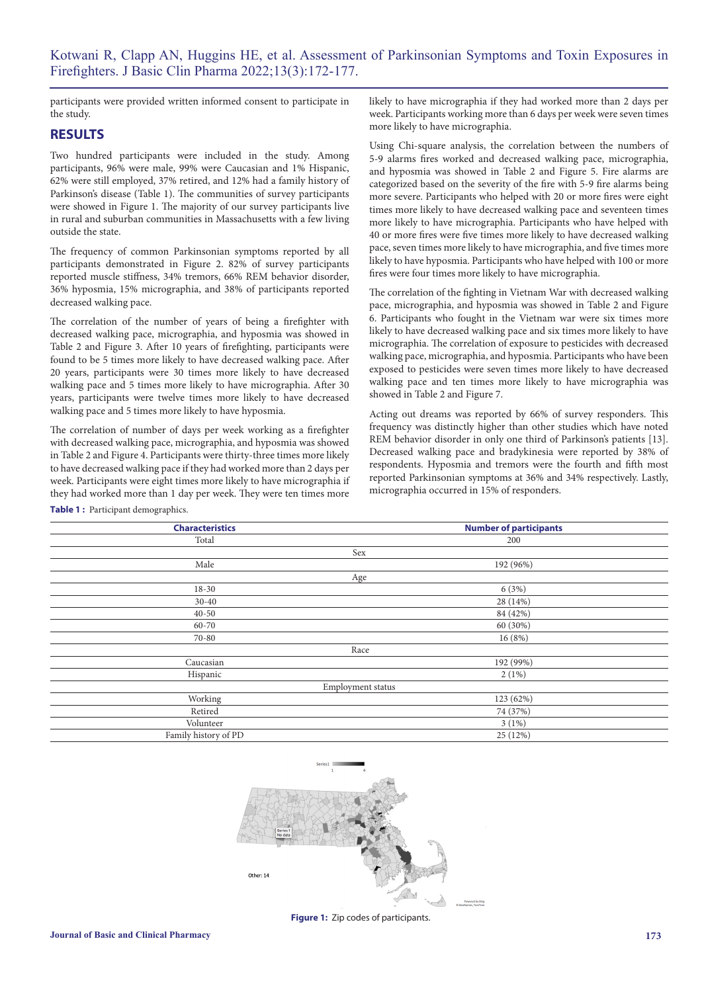participants were provided written informed consent to participate in the study.

### **RESULTS**

Two hundred participants were included in the study. Among participants, 96% were male, 99% were Caucasian and 1% Hispanic, 62% were still employed, 37% retired, and 12% had a family history of Parkinson's disease (Table 1). The communities of survey participants were showed in Figure 1. The majority of our survey participants live in rural and suburban communities in Massachusetts with a few living outside the state.

The frequency of common Parkinsonian symptoms reported by all participants demonstrated in Figure 2. 82% of survey participants reported muscle stiffness, 34% tremors, 66% REM behavior disorder, 36% hyposmia, 15% micrographia, and 38% of participants reported decreased walking pace.

The correlation of the number of years of being a firefighter with decreased walking pace, micrographia, and hyposmia was showed in Table 2 and Figure 3. After 10 years of firefighting, participants were found to be 5 times more likely to have decreased walking pace. After 20 years, participants were 30 times more likely to have decreased walking pace and 5 times more likely to have micrographia. After 30 years, participants were twelve times more likely to have decreased walking pace and 5 times more likely to have hyposmia.

The correlation of number of days per week working as a firefighter with decreased walking pace, micrographia, and hyposmia was showed in Table 2 and Figure 4. Participants were thirty-three times more likely to have decreased walking pace if they had worked more than 2 days per week. Participants were eight times more likely to have micrographia if they had worked more than 1 day per week. They were ten times more **Table 1 :** Participant demographics.

likely to have micrographia if they had worked more than 2 days per week. Participants working more than 6 days per week were seven times more likely to have micrographia.

Using Chi-square analysis, the correlation between the numbers of 5-9 alarms fires worked and decreased walking pace, micrographia, and hyposmia was showed in Table 2 and Figure 5. Fire alarms are categorized based on the severity of the fire with 5-9 fire alarms being more severe. Participants who helped with 20 or more fires were eight times more likely to have decreased walking pace and seventeen times more likely to have micrographia. Participants who have helped with 40 or more fires were five times more likely to have decreased walking pace, seven times more likely to have micrographia, and five times more likely to have hyposmia. Participants who have helped with 100 or more fires were four times more likely to have micrographia.

The correlation of the fighting in Vietnam War with decreased walking pace, micrographia, and hyposmia was showed in Table 2 and Figure 6. Participants who fought in the Vietnam war were six times more likely to have decreased walking pace and six times more likely to have micrographia. The correlation of exposure to pesticides with decreased walking pace, micrographia, and hyposmia. Participants who have been exposed to pesticides were seven times more likely to have decreased walking pace and ten times more likely to have micrographia was showed in Table 2 and Figure 7.

Acting out dreams was reported by 66% of survey responders. This frequency was distinctly higher than other studies which have noted REM behavior disorder in only one third of Parkinson's patients [13]. Decreased walking pace and bradykinesia were reported by 38% of respondents. Hyposmia and tremors were the fourth and fifth most reported Parkinsonian symptoms at 36% and 34% respectively. Lastly, micrographia occurred in 15% of responders.

| <b>Characteristics</b> | <b>Number of participants</b> |  |  |  |  |  |  |  |
|------------------------|-------------------------------|--|--|--|--|--|--|--|
| Total                  | 200                           |  |  |  |  |  |  |  |
|                        | Sex                           |  |  |  |  |  |  |  |
| Male                   | 192 (96%)                     |  |  |  |  |  |  |  |
|                        | Age                           |  |  |  |  |  |  |  |
| $18 - 30$              | 6(3%)                         |  |  |  |  |  |  |  |
| $30 - 40$              | 28 (14%)                      |  |  |  |  |  |  |  |
| $40 - 50$              | 84 (42%)                      |  |  |  |  |  |  |  |
| 60-70                  | 60 (30%)                      |  |  |  |  |  |  |  |
| 70-80                  | 16(8%)                        |  |  |  |  |  |  |  |
| Race                   |                               |  |  |  |  |  |  |  |
| Caucasian              | 192 (99%)                     |  |  |  |  |  |  |  |
| Hispanic               | 2(1%)                         |  |  |  |  |  |  |  |
| Employment status      |                               |  |  |  |  |  |  |  |
| Working                | 123 (62%)                     |  |  |  |  |  |  |  |
| Retired                | 74 (37%)                      |  |  |  |  |  |  |  |
| Volunteer              | 3(1%)                         |  |  |  |  |  |  |  |
| Family history of PD   | 25 (12%)                      |  |  |  |  |  |  |  |



**Figure 1:** Zip codes of participants.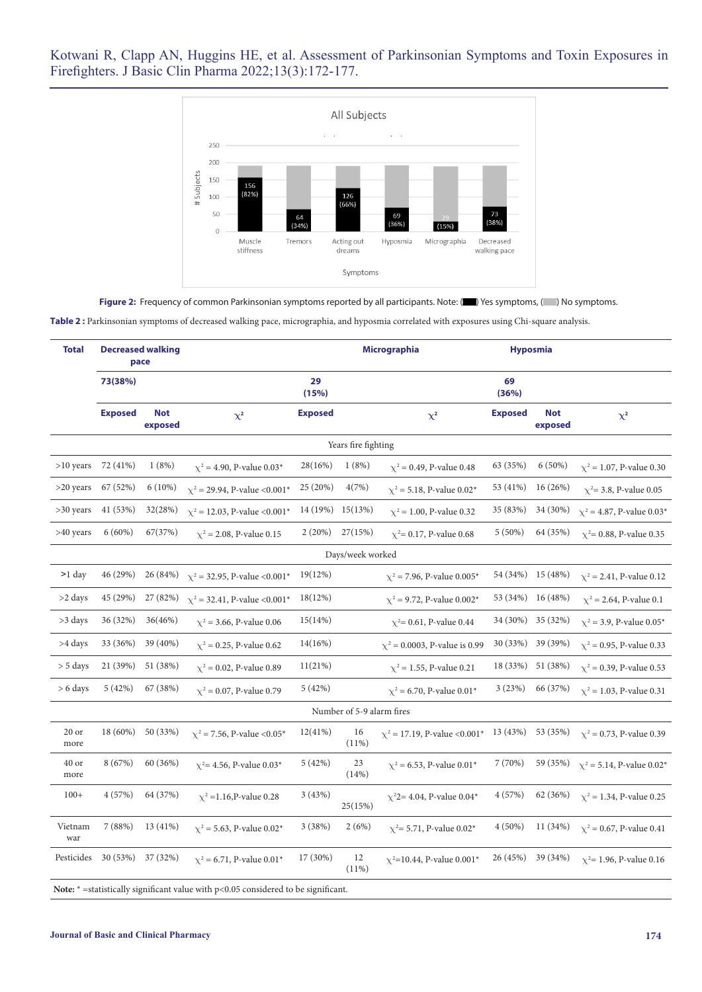Kotwani R, Clapp AN, Huggins HE, et al. Assessment of Parkinsonian Symptoms and Toxin Exposures in Firefighters. J Basic Clin Pharma 2022;13(3):172-177.



Figure 2: Frequency of common Parkinsonian symptoms reported by all participants. Note: (**inc**) Yes symptoms, (inc) No symptoms.

**Table 2 :** Parkinsonian symptoms of decreased walking pace, micrographia, and hyposmia correlated with exposures using Chi-square analysis.

| <b>Total</b>        |                                                                                        | <b>Decreased walking</b><br>pace |                                   |                   |                           | <b>Micrographia</b>                | <b>Hyposmia</b>   |                       |                                          |  |  |
|---------------------|----------------------------------------------------------------------------------------|----------------------------------|-----------------------------------|-------------------|---------------------------|------------------------------------|-------------------|-----------------------|------------------------------------------|--|--|
|                     | 73(38%)                                                                                |                                  |                                   | 29<br>(15%)       |                           |                                    | 69<br>(36%)       |                       |                                          |  |  |
|                     | <b>Exposed</b>                                                                         | <b>Not</b><br>exposed            | $\chi^2$                          | <b>Exposed</b>    |                           | $\chi^2$                           | <b>Exposed</b>    | <b>Not</b><br>exposed | $\chi^2$                                 |  |  |
| Years fire fighting |                                                                                        |                                  |                                   |                   |                           |                                    |                   |                       |                                          |  |  |
| $>10$ years         | 72 (41%)                                                                               | 1(8%)                            | $\chi^2$ = 4.90, P-value 0.03*    | 28(16%)           | 1(8%)                     | $\chi^2$ = 0.49, P-value 0.48      | 63 (35%)          | $6(50\%)$             | $\chi^2$ = 1.07, P-value 0.30            |  |  |
| $>20$ years         | 67 (52%)                                                                               | $6(10\%)$                        | $\chi^2$ = 29.94, P-value <0.001* | 25 (20%)          | 4(7%)                     | $\chi^2$ = 5.18, P-value 0.02*     | 53 (41%)          | 16(26%)               | $\chi^2$ = 3.8, P-value 0.05             |  |  |
| >30 years           | 41 (53%)                                                                               | 32(28%)                          | $\chi^2$ = 12.03, P-value <0.001* | 14 (19%) 15 (13%) |                           | $\chi^2$ = 1.00, P-value 0.32      | 35 (83%)          | 34 (30%)              | $\chi^2$ = 4.87, P-value 0.03*           |  |  |
| >40 years           | $6(60\%)$                                                                              | 67(37%)                          | $\chi^2$ = 2.08, P-value 0.15     |                   | $2(20\%)$ $27(15\%)$      | $\chi^2$ = 0.17, P-value 0.68      | $5(50\%)$         | 64 (35%)              | $\chi^2$ = 0.88, P-value 0.35            |  |  |
| Days/week worked    |                                                                                        |                                  |                                   |                   |                           |                                    |                   |                       |                                          |  |  |
| $>1$ day            | 46 (29%)                                                                               | 26 (84%)                         | $\chi^2$ = 32.95, P-value <0.001* | 19(12%)           |                           | $\chi^2$ = 7.96, P-value 0.005*    |                   | 54 (34%) 15 (48%)     | $\chi^2$ = 2.41, P-value 0.12            |  |  |
| $>2$ days           | 45 (29%)                                                                               | 27 (82%)                         | $\chi^2$ = 32.41, P-value <0.001* | 18(12%)           |                           | $\chi^2$ = 9.72, P-value 0.002*    | 53 (34%)          | 16 (48%)              | $\chi^2$ = 2.64, P-value 0.1             |  |  |
| $>3$ days           | 36 (32%)                                                                               | 36(46%)                          | $\chi^2$ = 3.66, P-value 0.06     | 15(14%)           |                           | $\chi^2$ = 0.61, P-value 0.44      | 34 (30%)          | 35 (32%)              | $\chi^2$ = 3.9, P-value 0.05*            |  |  |
| $>4$ days           | 33 (36%)                                                                               | 39 (40%)                         | $\chi^2$ = 0.25, P-value 0.62     | 14(16%)           |                           | $\chi^2$ = 0.0003, P-value is 0.99 | 30 (33%)          | 39 (39%)              | $\chi^2$ = 0.95, P-value 0.33            |  |  |
| $> 5 \text{ days}$  | 21 (39%)                                                                               | 51 (38%)                         | $\chi^2$ = 0.02, P-value 0.89     | 11(21%)           |                           | $\chi^2$ = 1.55, P-value 0.21      | 18 (33%)          | 51 (38%)              | $\chi^2$ = 0.39, P-value 0.53            |  |  |
| $> 6 \text{ days}$  | 5(42%)                                                                                 | 67 (38%)                         | $\chi^2$ = 0.07, P-value 0.79     | 5(42%)            |                           | $\chi^2$ = 6.70, P-value 0.01*     | 3(23%)            | 66 (37%)              | $\chi^2$ = 1.03, P-value 0.31            |  |  |
|                     |                                                                                        |                                  |                                   |                   | Number of 5-9 alarm fires |                                    |                   |                       |                                          |  |  |
| 20 or<br>more       | 18 (60%)                                                                               | 50 (33%)                         | $\chi^2$ = 7.56, P-value <0.05*   | 12(41%)           | 16<br>$(11\%)$            | $\chi^2$ = 17.19, P-value <0.001*  | 13 (43%) 53 (35%) |                       | $\chi^2$ = 0.73, P-value 0.39            |  |  |
| 40 or<br>more       | 8(67%)                                                                                 | 60 (36%)                         | $\chi^2$ = 4.56, P-value 0.03*    | 5(42%)            | 23<br>(14%)               | $\chi^2$ = 6.53, P-value 0.01*     | 7(70%)            |                       | 59 (35%) $\chi^2 = 5.14$ , P-value 0.02* |  |  |
| $100+$              | 4(57%)                                                                                 | 64 (37%)                         | $\chi^2$ =1.16,P-value 0.28       | 3(43%)            | 25(15%)                   | $\chi^2$ 2= 4.04, P-value 0.04*    | 4(57%)            | 62 (36%)              | $\chi^2$ = 1.34, P-value 0.25            |  |  |
| Vietnam<br>war      | 7(88%)                                                                                 | 13(41%)                          | $\chi^2$ = 5.63, P-value 0.02*    | 3(38%)            | 2(6%)                     | $\chi^2$ = 5.71, P-value 0.02*     | 4(50%)            | 11(34%)               | $\chi^2$ = 0.67, P-value 0.41            |  |  |
| Pesticides          | 30 (53%) 37 (32%)                                                                      |                                  | $\chi^2$ = 6.71, P-value 0.01*    | 17 (30%)          | 12<br>(11%)               | $\chi^2$ =10.44, P-value 0.001*    | 26 (45%)          | 39 (34%)              | $\chi^2$ = 1.96, P-value 0.16            |  |  |
|                     | Note: $*$ =statistically significant value with $p<0.05$ considered to be significant. |                                  |                                   |                   |                           |                                    |                   |                       |                                          |  |  |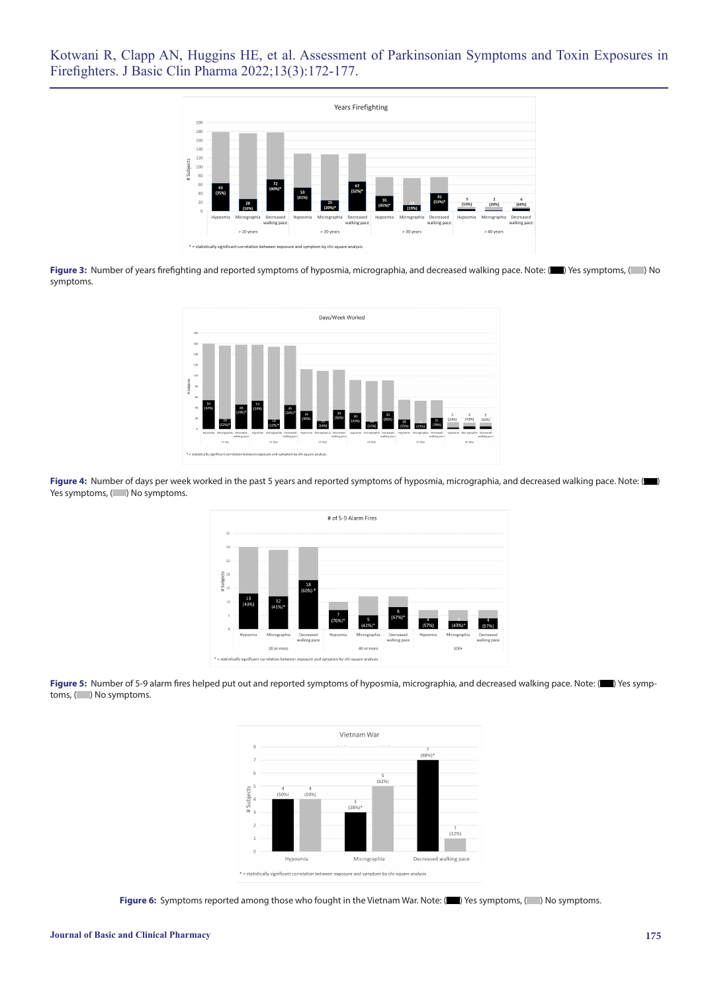Kotwani R, Clapp AN, Huggins HE, et al. Assessment of Parkinsonian Symptoms and Toxin Exposures in Firefighters. J Basic Clin Pharma 2022;13(3):172-177.



**Figure 3:** Number of years firefighting and reported symptoms of hyposmia, micrographia, and decreased walking pace. Note: ( $\Box$ ) Yes symptoms,  $\Box$ ) No symptoms.



Figure 4: Number of days per week worked in the past 5 years and reported symptoms of hyposmia, micrographia, and decreased walking pace. Note: ( $\Box$ ) Yes symptoms, ( ) No symptoms.



Figure 5: Number of 5-9 alarm fires helped put out and reported symptoms of hyposmia, micrographia, and decreased walking pace. Note: ( $\Box$ ) Yes symp $toms, ($   $)$  No symptoms.



**Figure 6:** Symptoms reported among those who fought in the Vietnam War. Note: ( $\Box$ ) Yes symptoms, ( $\Box$ ) No symptoms.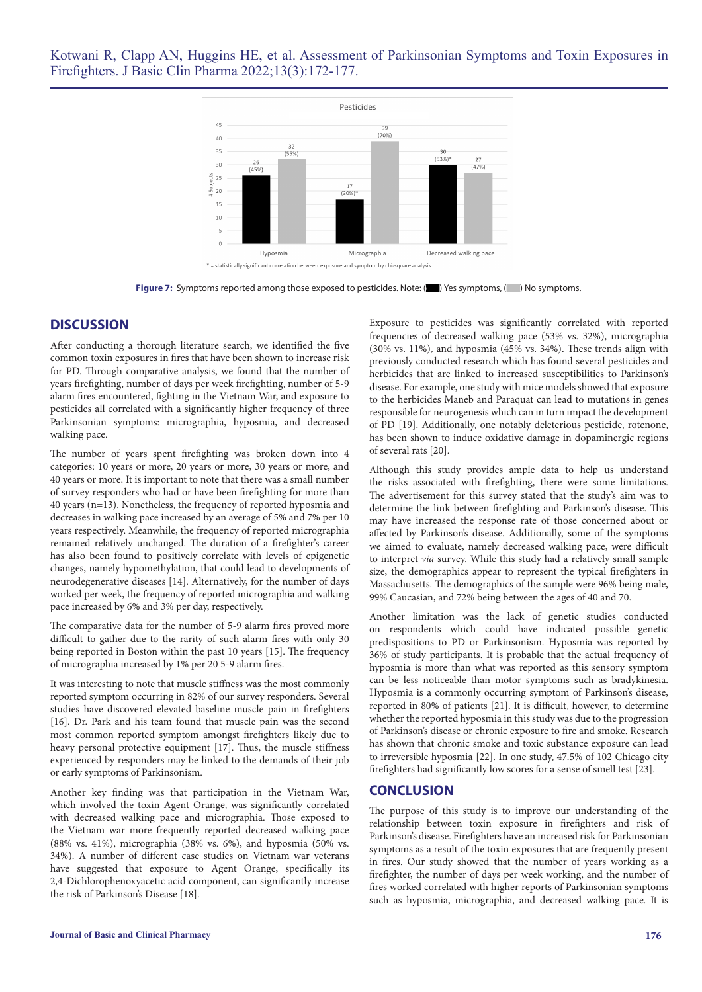Kotwani R, Clapp AN, Huggins HE, et al. Assessment of Parkinsonian Symptoms and Toxin Exposures in Firefighters. J Basic Clin Pharma 2022;13(3):172-177.



**Figure 7:** Symptoms reported among those exposed to pesticides. Note: ( $\Box$ ) Yes symptoms,  $\Box$ ) No symptoms.

#### **DISCUSSION**

After conducting a thorough literature search, we identified the five common toxin exposures in fires that have been shown to increase risk for PD. Through comparative analysis, we found that the number of years firefighting, number of days per week firefighting, number of 5-9 alarm fires encountered, fighting in the Vietnam War, and exposure to pesticides all correlated with a significantly higher frequency of three Parkinsonian symptoms: micrographia, hyposmia, and decreased walking pace.

The number of years spent firefighting was broken down into 4 categories: 10 years or more, 20 years or more, 30 years or more, and 40 years or more. It is important to note that there was a small number of survey responders who had or have been firefighting for more than 40 years (n=13). Nonetheless, the frequency of reported hyposmia and decreases in walking pace increased by an average of 5% and 7% per 10 years respectively. Meanwhile, the frequency of reported micrographia remained relatively unchanged. The duration of a firefighter's career has also been found to positively correlate with levels of epigenetic changes, namely hypomethylation, that could lead to developments of neurodegenerative diseases [14]. Alternatively, for the number of days worked per week, the frequency of reported micrographia and walking pace increased by 6% and 3% per day, respectively.

The comparative data for the number of 5-9 alarm fires proved more difficult to gather due to the rarity of such alarm fires with only 30 being reported in Boston within the past 10 years [15]. The frequency of micrographia increased by 1% per 20 5-9 alarm fires.

It was interesting to note that muscle stiffness was the most commonly reported symptom occurring in 82% of our survey responders. Several studies have discovered elevated baseline muscle pain in firefighters [16]. Dr. Park and his team found that muscle pain was the second most common reported symptom amongst firefighters likely due to heavy personal protective equipment [17]. Thus, the muscle stiffness experienced by responders may be linked to the demands of their job or early symptoms of Parkinsonism.

Another key finding was that participation in the Vietnam War, which involved the toxin Agent Orange, was significantly correlated with decreased walking pace and micrographia. Those exposed to the Vietnam war more frequently reported decreased walking pace (88% vs. 41%), micrographia (38% vs. 6%), and hyposmia (50% vs. 34%). A number of different case studies on Vietnam war veterans have suggested that exposure to Agent Orange, specifically its 2,4-Dichlorophenoxyacetic acid component, can significantly increase the risk of Parkinson's Disease [18].

Exposure to pesticides was significantly correlated with reported frequencies of decreased walking pace (53% vs. 32%), micrographia (30% vs. 11%), and hyposmia (45% vs. 34%). These trends align with previously conducted research which has found several pesticides and herbicides that are linked to increased susceptibilities to Parkinson's disease. For example, one study with mice models showed that exposure to the herbicides Maneb and Paraquat can lead to mutations in genes responsible for neurogenesis which can in turn impact the development of PD [19]. Additionally, one notably deleterious pesticide, rotenone, has been shown to induce oxidative damage in dopaminergic regions of several rats [20].

Although this study provides ample data to help us understand the risks associated with firefighting, there were some limitations. The advertisement for this survey stated that the study's aim was to determine the link between firefighting and Parkinson's disease. This may have increased the response rate of those concerned about or affected by Parkinson's disease. Additionally, some of the symptoms we aimed to evaluate, namely decreased walking pace, were difficult to interpret *via* survey. While this study had a relatively small sample size, the demographics appear to represent the typical firefighters in Massachusetts. The demographics of the sample were 96% being male, 99% Caucasian, and 72% being between the ages of 40 and 70.

Another limitation was the lack of genetic studies conducted on respondents which could have indicated possible genetic predispositions to PD or Parkinsonism. Hyposmia was reported by 36% of study participants. It is probable that the actual frequency of hyposmia is more than what was reported as this sensory symptom can be less noticeable than motor symptoms such as bradykinesia. Hyposmia is a commonly occurring symptom of Parkinson's disease, reported in 80% of patients [21]. It is difficult, however, to determine whether the reported hyposmia in this study was due to the progression of Parkinson's disease or chronic exposure to fire and smoke. Research has shown that chronic smoke and toxic substance exposure can lead to irreversible hyposmia [22]. In one study, 47.5% of 102 Chicago city firefighters had significantly low scores for a sense of smell test [23].

#### **CONCLUSION**

The purpose of this study is to improve our understanding of the relationship between toxin exposure in firefighters and risk of Parkinson's disease. Firefighters have an increased risk for Parkinsonian symptoms as a result of the toxin exposures that are frequently present in fires. Our study showed that the number of years working as a firefighter, the number of days per week working, and the number of fires worked correlated with higher reports of Parkinsonian symptoms such as hyposmia, micrographia, and decreased walking pace. It is